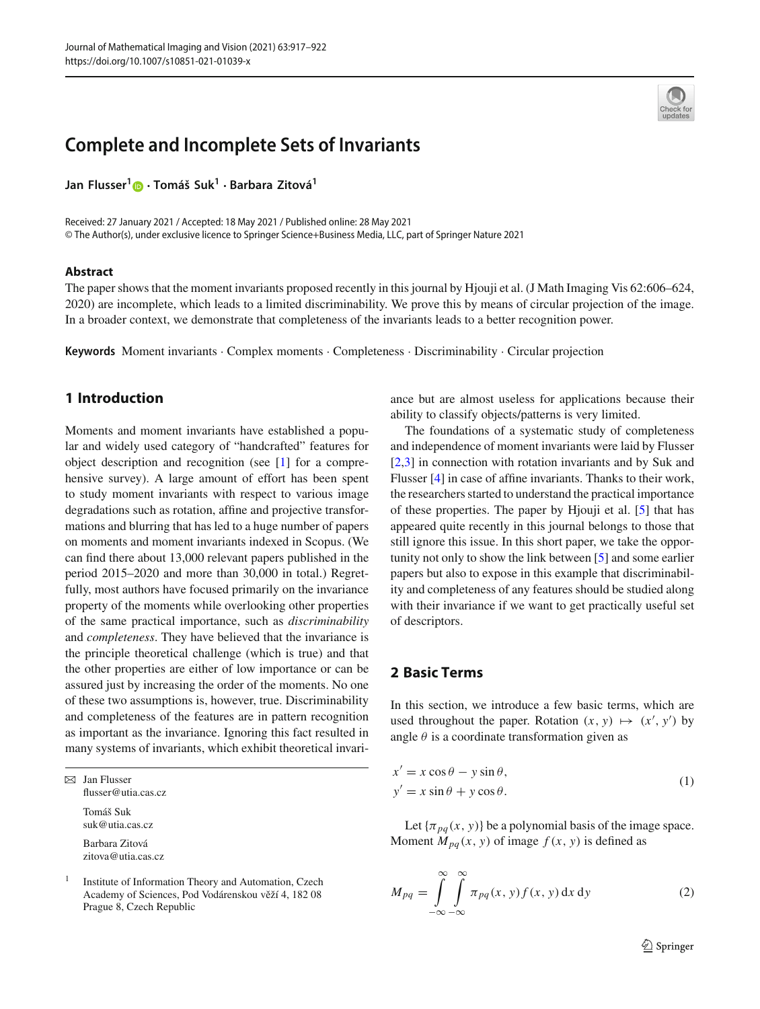# **Complete and Incomplete Sets of Invariants**

**Jan Flusser[1](http://orcid.org/0000-0003-3747-9214) · Tomáš Suk1 · Barbara Zitová<sup>1</sup>**

Received: 27 January 2021 / Accepted: 18 May 2021 / Published online: 28 May 2021 © The Author(s), under exclusive licence to Springer Science+Business Media, LLC, part of Springer Nature 2021

#### **Abstract**

The paper shows that the moment invariants proposed recently in this journal by Hjouji et al. (J Math Imaging Vis 62:606–624, 2020) are incomplete, which leads to a limited discriminability. We prove this by means of circular projection of the image. In a broader context, we demonstrate that completeness of the invariants leads to a better recognition power.

**Keywords** Moment invariants · Complex moments · Completeness · Discriminability · Circular projection

### **1 Introduction**

Moments and moment invariants have established a popular and widely used category of "handcrafted" features for object description and recognition (see [\[1](#page-4-0)] for a comprehensive survey). A large amount of effort has been spent to study moment invariants with respect to various image degradations such as rotation, affine and projective transformations and blurring that has led to a huge number of papers on moments and moment invariants indexed in Scopus. (We can find there about 13,000 relevant papers published in the period 2015–2020 and more than 30,000 in total.) Regretfully, most authors have focused primarily on the invariance property of the moments while overlooking other properties of the same practical importance, such as *discriminability* and *completeness*. They have believed that the invariance is the principle theoretical challenge (which is true) and that the other properties are either of low importance or can be assured just by increasing the order of the moments. No one of these two assumptions is, however, true. Discriminability and completeness of the features are in pattern recognition as important as the invariance. Ignoring this fact resulted in many systems of invariants, which exhibit theoretical invari-

 $\boxtimes$  Jan Flusser flusser@utia.cas.cz

> Tomáš Suk suk@utia.cas.cz Barbara Zitová zitova@utia.cas.cz

<sup>1</sup> Institute of Information Theory and Automation, Czech Academy of Sciences, Pod Vodárenskou věží 4, 182 08 Prague 8, Czech Republic

ance but are almost useless for applications because their ability to classify objects/patterns is very limited.

The foundations of a systematic study of completeness and independence of moment invariants were laid by Flusser [\[2](#page-4-1)[,3\]](#page-4-2) in connection with rotation invariants and by Suk and Flusser [\[4\]](#page-4-3) in case of affine invariants. Thanks to their work, the researchers started to understand the practical importance of these properties. The paper by Hjouji et al. [\[5\]](#page-4-4) that has appeared quite recently in this journal belongs to those that still ignore this issue. In this short paper, we take the opportunity not only to show the link between [\[5\]](#page-4-4) and some earlier papers but also to expose in this example that discriminability and completeness of any features should be studied along with their invariance if we want to get practically useful set of descriptors.

#### **2 Basic Terms**

In this section, we introduce a few basic terms, which are used throughout the paper. Rotation  $(x, y) \mapsto (x', y')$  by angle  $\theta$  is a coordinate transformation given as

$$
x' = x \cos \theta - y \sin \theta,
$$
  
\n
$$
y' = x \sin \theta + y \cos \theta.
$$
 (1)

Let  $\{\pi_{pq}(x, y)\}\$  be a polynomial basis of the image space. Moment  $M_{pq}(x, y)$  of image  $f(x, y)$  is defined as

$$
M_{pq} = \int_{-\infty}^{\infty} \int_{-\infty}^{\infty} \pi_{pq}(x, y) f(x, y) dx dy
$$
 (2)

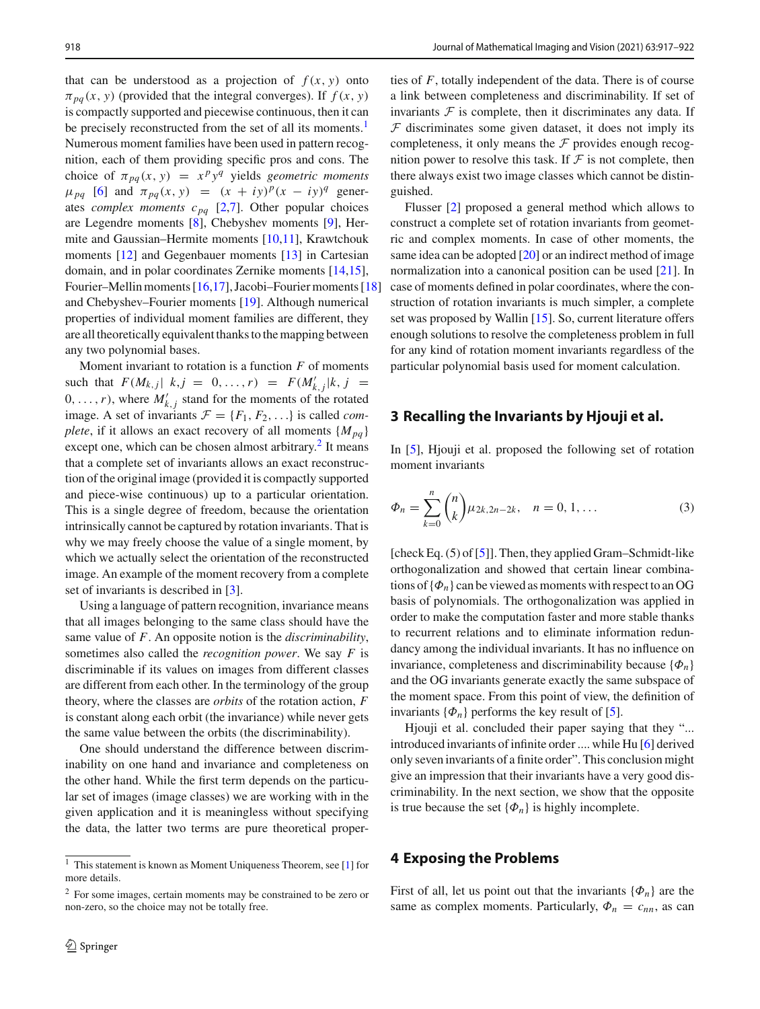that can be understood as a projection of  $f(x, y)$  onto  $\pi_{pa}(x, y)$  (provided that the integral converges). If  $f(x, y)$ is compactly supported and piecewise continuous, then it can be precisely reconstructed from the set of all its moments.<sup>1</sup> Numerous moment families have been used in pattern recognition, each of them providing specific pros and cons. The choice of  $\pi_{pq}(x, y) = x^p y^q$  yields *geometric moments*  $\mu_{pq}$  [\[6](#page-4-5)] and  $\pi_{pq}(x, y) = (x + iy)^p (x - iy)^q$  generates *complex moments*  $c_{pq}$  [\[2](#page-4-1)[,7](#page-4-6)]. Other popular choices are Legendre moments [\[8](#page-4-7)], Chebyshev moments [\[9\]](#page-4-8), Hermite and Gaussian–Hermite moments [\[10](#page-4-9)[,11](#page-4-10)], Krawtchouk moments [\[12](#page-4-11)] and Gegenbauer moments [\[13\]](#page-4-12) in Cartesian domain, and in polar coordinates Zernike moments [\[14](#page-4-13)[,15](#page-4-14)], Fourier–Mellin moments [\[16](#page-4-15)[,17\]](#page-4-16), Jacobi–Fourier moments [\[18](#page-4-17)] and Chebyshev–Fourier moments [\[19\]](#page-4-18). Although numerical properties of individual moment families are different, they are all theoretically equivalent thanks to the mapping between any two polynomial bases.

Moment invariant to rotation is a function *F* of moments such that  $F(M_{k,j} | k, j = 0, ..., r) = F(M'_{k,j} | k, j = 0)$  $(0, \ldots, r)$ , where  $M'_{k,j}$  stand for the moments of the rotated image. A set of invariants  $\mathcal{F} = \{F_1, F_2, \ldots\}$  is called *complete*, if it allows an exact recovery of all moments  ${M_{pq}}$ except one, which can be chosen almost arbitrary. $\frac{2}{3}$  It means that a complete set of invariants allows an exact reconstruction of the original image (provided it is compactly supported and piece-wise continuous) up to a particular orientation. This is a single degree of freedom, because the orientation intrinsically cannot be captured by rotation invariants. That is why we may freely choose the value of a single moment, by which we actually select the orientation of the reconstructed image. An example of the moment recovery from a complete set of invariants is described in [\[3\]](#page-4-2).

Using a language of pattern recognition, invariance means that all images belonging to the same class should have the same value of *F*. An opposite notion is the *discriminability*, sometimes also called the *recognition power*. We say *F* is discriminable if its values on images from different classes are different from each other. In the terminology of the group theory, where the classes are *orbits* of the rotation action, *F* is constant along each orbit (the invariance) while never gets the same value between the orbits (the discriminability).

One should understand the difference between discriminability on one hand and invariance and completeness on the other hand. While the first term depends on the particular set of images (image classes) we are working with in the given application and it is meaningless without specifying the data, the latter two terms are pure theoretical properties of *F*, totally independent of the data. There is of course a link between completeness and discriminability. If set of invariants  $F$  is complete, then it discriminates any data. If  $F$  discriminates some given dataset, it does not imply its completeness, it only means the  $\mathcal F$  provides enough recognition power to resolve this task. If  $\mathcal F$  is not complete, then there always exist two image classes which cannot be distinguished.

Flusser [\[2](#page-4-1)] proposed a general method which allows to construct a complete set of rotation invariants from geometric and complex moments. In case of other moments, the same idea can be adopted [\[20\]](#page-4-19) or an indirect method of image normalization into a canonical position can be used [\[21\]](#page-4-20). In case of moments defined in polar coordinates, where the construction of rotation invariants is much simpler, a complete set was proposed by Wallin [\[15\]](#page-4-14). So, current literature offers enough solutions to resolve the completeness problem in full for any kind of rotation moment invariants regardless of the particular polynomial basis used for moment calculation.

#### **3 Recalling the Invariants by Hjouji et al.**

In [\[5](#page-4-4)], Hjouji et al. proposed the following set of rotation moment invariants

$$
\Phi_n = \sum_{k=0}^n \binom{n}{k} \mu_{2k,2n-2k}, \quad n = 0, 1, \dots \tag{3}
$$

[check Eq. (5) of [\[5\]](#page-4-4)]. Then, they applied Gram–Schmidt-like orthogonalization and showed that certain linear combinations of  $\{\Phi_n\}$  can be viewed as moments with respect to an OG basis of polynomials. The orthogonalization was applied in order to make the computation faster and more stable thanks to recurrent relations and to eliminate information redundancy among the individual invariants. It has no influence on invariance, completeness and discriminability because  $\{\Phi_n\}$ and the OG invariants generate exactly the same subspace of the moment space. From this point of view, the definition of invariants  $\{\Phi_n\}$  performs the key result of [\[5\]](#page-4-4).

Hjouji et al. concluded their paper saying that they "... introduced invariants of infinite order .... while Hu [\[6\]](#page-4-5) derived only seven invariants of a finite order". This conclusion might give an impression that their invariants have a very good discriminability. In the next section, we show that the opposite is true because the set  $\{\Phi_n\}$  is highly incomplete.

#### **4 Exposing the Problems**

First of all, let us point out that the invariants  $\{\Phi_n\}$  are the same as complex moments. Particularly,  $\Phi_n = c_{nn}$ , as can

<span id="page-1-0"></span> $\frac{1}{1}$  This statement is known as Moment Uniqueness Theorem, see [\[1\]](#page-4-0) for more details.

<span id="page-1-1"></span><sup>2</sup> For some images, certain moments may be constrained to be zero or non-zero, so the choice may not be totally free.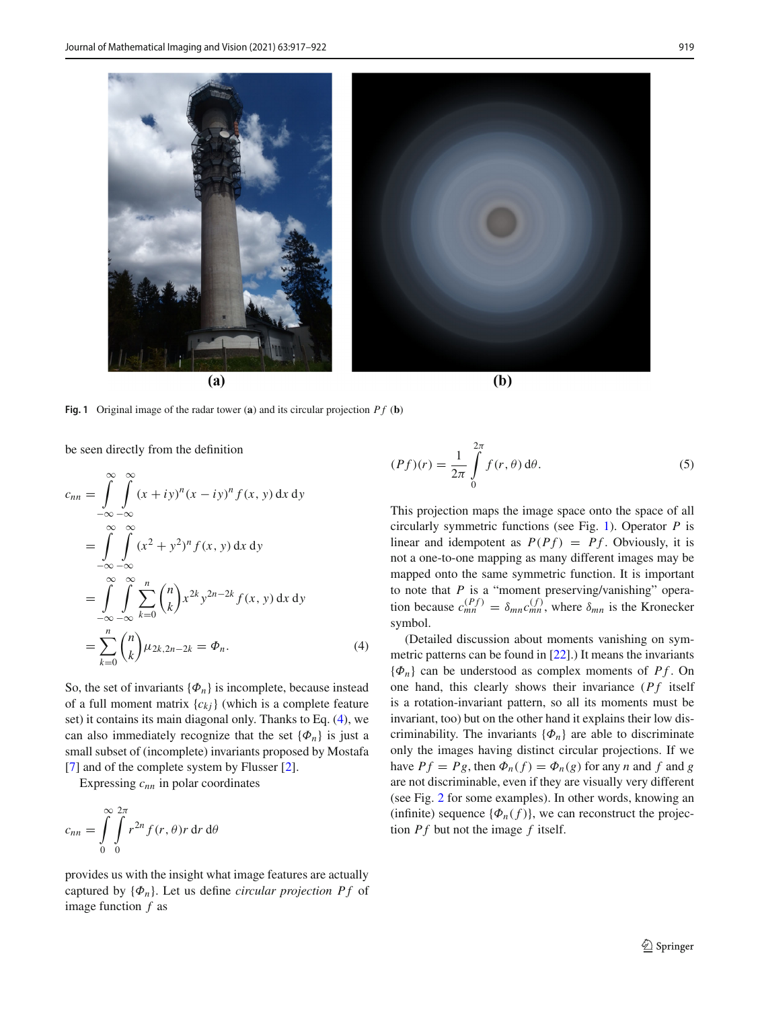

**Fig. 1** Original image of the radar tower (**a**) and its circular projection  $Pf$  (**b**)

<span id="page-2-1"></span>be seen directly from the definition

<span id="page-2-0"></span>
$$
c_{nn} = \int_{-\infty}^{\infty} \int_{-\infty}^{\infty} (x + iy)^n (x - iy)^n f(x, y) dx dy
$$
  
\n
$$
= \int_{-\infty}^{\infty} \int_{-\infty}^{\infty} (x^2 + y^2)^n f(x, y) dx dy
$$
  
\n
$$
= \int_{-\infty}^{\infty} \int_{-\infty}^{\infty} \int_{k=0}^n {n \choose k} x^{2k} y^{2n-2k} f(x, y) dx dy
$$
  
\n
$$
= \sum_{k=0}^n {n \choose k} \mu_{2k, 2n-2k} = \Phi_n.
$$
 (4)

So, the set of invariants  $\{\Phi_n\}$  is incomplete, because instead of a full moment matrix  ${c_{ki}}$  (which is a complete feature set) it contains its main diagonal only. Thanks to Eq. [\(4\)](#page-2-0), we can also immediately recognize that the set  $\{\Phi_n\}$  is just a small subset of (incomplete) invariants proposed by Mostafa [\[7](#page-4-6)] and of the complete system by Flusser [\[2\]](#page-4-1).

Expressing  $c_{nn}$  in polar coordinates

$$
c_{nn} = \int_{0}^{\infty} \int_{0}^{2\pi} r^{2n} f(r, \theta) r \, dr \, d\theta
$$

provides us with the insight what image features are actually captured by  $\{\Phi_n\}$ . Let us define *circular projection Pf* of image function *f* as

$$
(Pf)(r) = \frac{1}{2\pi} \int_{0}^{2\pi} f(r,\theta) d\theta.
$$
 (5)

This projection maps the image space onto the space of all circularly symmetric functions (see Fig. [1\)](#page-2-1). Operator *P* is linear and idempotent as  $P(Pf) = Pf$ . Obviously, it is not a one-to-one mapping as many different images may be mapped onto the same symmetric function. It is important to note that *P* is a "moment preserving/vanishing" operation because  $c_{mn}^{(Pf)} = \delta_{mn} c_{mn}^{(f)}$ , where  $\delta_{mn}$  is the Kronecker symbol.

(Detailed discussion about moments vanishing on symmetric patterns can be found in [\[22\]](#page-4-21).) It means the invariants  ${\phi_n}$  can be understood as complex moments of *Pf*. On one hand, this clearly shows their invariance (*Pf* itself is a rotation-invariant pattern, so all its moments must be invariant, too) but on the other hand it explains their low discriminability. The invariants  $\{\Phi_n\}$  are able to discriminate only the images having distinct circular projections. If we have  $P f = P g$ , then  $\Phi_n(f) = \Phi_n(g)$  for any *n* and *f* and *g* are not discriminable, even if they are visually very different (see Fig. [2](#page-3-0) for some examples). In other words, knowing an (infinite) sequence  $\{\Phi_n(f)\}\)$ , we can reconstruct the projection *P f* but not the image *f* itself.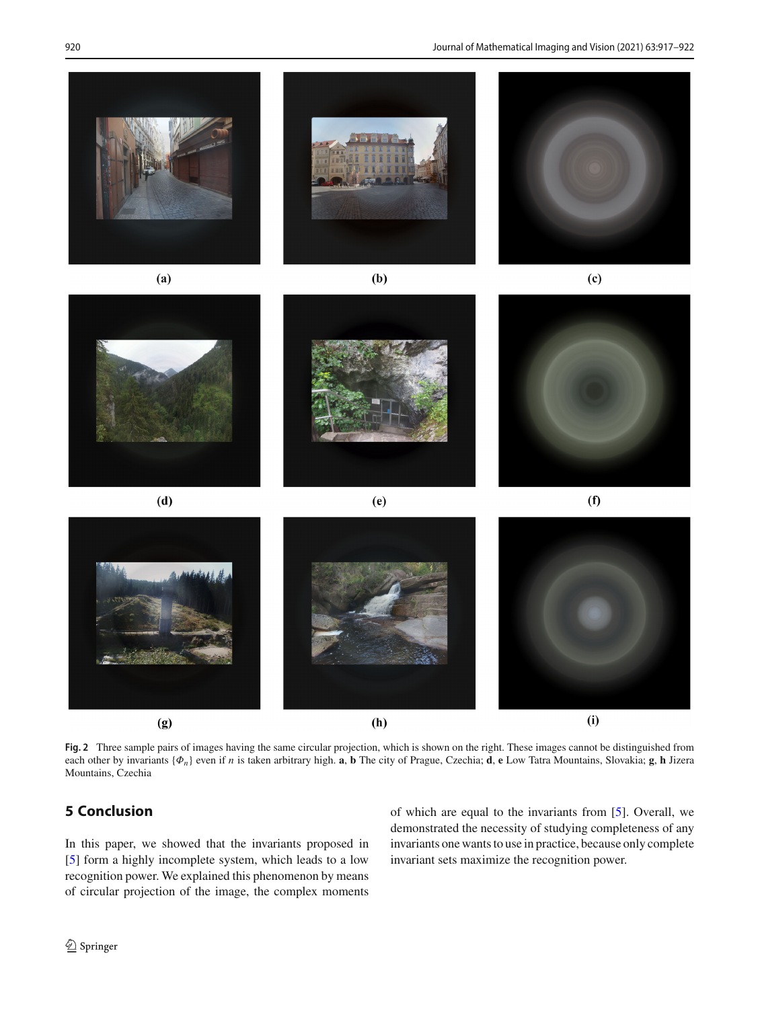

**Fig. 2** Three sample pairs of images having the same circular projection, which is shown on the right. These images cannot be distinguished from each other by invariants {Φ*n*} even if *n* is taken arbitrary high. **a**, **b** The city of Prague, Czechia; **d**, **e** Low Tatra Mountains, Slovakia; **g**, **h** Jizera Mountains, Czechia

## <span id="page-3-0"></span>**5 Conclusion**

In this paper, we showed that the invariants proposed in [\[5](#page-4-4)] form a highly incomplete system, which leads to a low recognition power. We explained this phenomenon by means of circular projection of the image, the complex moments of which are equal to the invariants from [\[5](#page-4-4)]. Overall, we demonstrated the necessity of studying completeness of any invariants one wants to use in practice, because only complete invariant sets maximize the recognition power.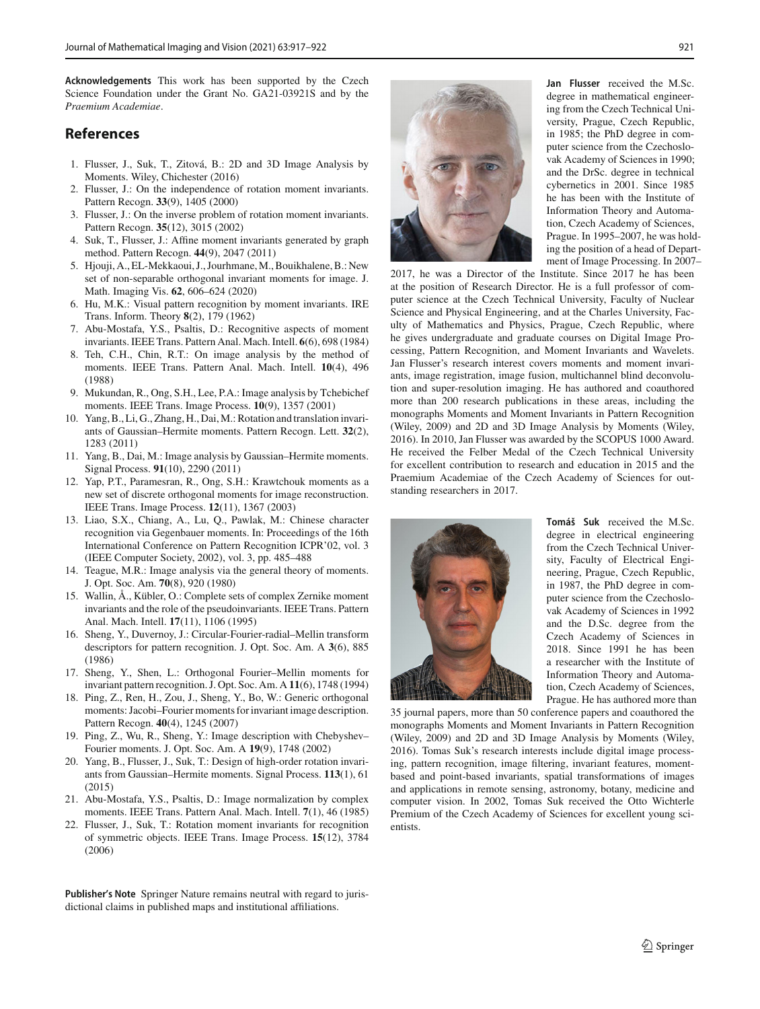**Acknowledgements** This work has been supported by the Czech Science Foundation under the Grant No. GA21-03921S and by the *Praemium Academiae*.

#### **References**

- <span id="page-4-0"></span>1. Flusser, J., Suk, T., Zitová, B.: 2D and 3D Image Analysis by Moments. Wiley, Chichester (2016)
- <span id="page-4-1"></span>2. Flusser, J.: On the independence of rotation moment invariants. Pattern Recogn. **33**(9), 1405 (2000)
- <span id="page-4-2"></span>3. Flusser, J.: On the inverse problem of rotation moment invariants. Pattern Recogn. **35**(12), 3015 (2002)
- <span id="page-4-3"></span>4. Suk, T., Flusser, J.: Affine moment invariants generated by graph method. Pattern Recogn. **44**(9), 2047 (2011)
- <span id="page-4-4"></span>5. Hjouji, A., EL-Mekkaoui, J., Jourhmane, M., Bouikhalene, B.: New set of non-separable orthogonal invariant moments for image. J. Math. Imaging Vis. **62**, 606–624 (2020)
- <span id="page-4-5"></span>6. Hu, M.K.: Visual pattern recognition by moment invariants. IRE Trans. Inform. Theory **8**(2), 179 (1962)
- <span id="page-4-6"></span>7. Abu-Mostafa, Y.S., Psaltis, D.: Recognitive aspects of moment invariants. IEEE Trans. Pattern Anal. Mach. Intell. **6**(6), 698 (1984)
- <span id="page-4-7"></span>8. Teh, C.H., Chin, R.T.: On image analysis by the method of moments. IEEE Trans. Pattern Anal. Mach. Intell. **10**(4), 496 (1988)
- <span id="page-4-8"></span>9. Mukundan, R., Ong, S.H., Lee, P.A.: Image analysis by Tchebichef moments. IEEE Trans. Image Process. **10**(9), 1357 (2001)
- <span id="page-4-9"></span>10. Yang, B., Li, G., Zhang, H., Dai,M.: Rotation and translation invariants of Gaussian–Hermite moments. Pattern Recogn. Lett. **32**(2), 1283 (2011)
- <span id="page-4-10"></span>11. Yang, B., Dai, M.: Image analysis by Gaussian–Hermite moments. Signal Process. **91**(10), 2290 (2011)
- <span id="page-4-11"></span>12. Yap, P.T., Paramesran, R., Ong, S.H.: Krawtchouk moments as a new set of discrete orthogonal moments for image reconstruction. IEEE Trans. Image Process. **12**(11), 1367 (2003)
- <span id="page-4-12"></span>13. Liao, S.X., Chiang, A., Lu, Q., Pawlak, M.: Chinese character recognition via Gegenbauer moments. In: Proceedings of the 16th International Conference on Pattern Recognition ICPR'02, vol. 3 (IEEE Computer Society, 2002), vol. 3, pp. 485–488
- <span id="page-4-13"></span>14. Teague, M.R.: Image analysis via the general theory of moments. J. Opt. Soc. Am. **70**(8), 920 (1980)
- <span id="page-4-14"></span>15. Wallin, Å., Kübler, O.: Complete sets of complex Zernike moment invariants and the role of the pseudoinvariants. IEEE Trans. Pattern Anal. Mach. Intell. **17**(11), 1106 (1995)
- <span id="page-4-15"></span>16. Sheng, Y., Duvernoy, J.: Circular-Fourier-radial–Mellin transform descriptors for pattern recognition. J. Opt. Soc. Am. A **3**(6), 885 (1986)
- <span id="page-4-16"></span>17. Sheng, Y., Shen, L.: Orthogonal Fourier–Mellin moments for invariant pattern recognition. J. Opt. Soc. Am. A **11**(6), 1748 (1994)
- <span id="page-4-17"></span>18. Ping, Z., Ren, H., Zou, J., Sheng, Y., Bo, W.: Generic orthogonal moments: Jacobi–Fourier moments for invariant image description. Pattern Recogn. **40**(4), 1245 (2007)
- <span id="page-4-18"></span>19. Ping, Z., Wu, R., Sheng, Y.: Image description with Chebyshev– Fourier moments. J. Opt. Soc. Am. A **19**(9), 1748 (2002)
- <span id="page-4-19"></span>20. Yang, B., Flusser, J., Suk, T.: Design of high-order rotation invariants from Gaussian–Hermite moments. Signal Process. **113**(1), 61 (2015)
- <span id="page-4-20"></span>21. Abu-Mostafa, Y.S., Psaltis, D.: Image normalization by complex moments. IEEE Trans. Pattern Anal. Mach. Intell. **7**(1), 46 (1985)
- <span id="page-4-21"></span>22. Flusser, J., Suk, T.: Rotation moment invariants for recognition of symmetric objects. IEEE Trans. Image Process. **15**(12), 3784 (2006)

**Publisher's Note** Springer Nature remains neutral with regard to jurisdictional claims in published maps and institutional affiliations.



**Jan Flusser** received the M.Sc. degree in mathematical engineering from the Czech Technical University, Prague, Czech Republic, in 1985; the PhD degree in computer science from the Czechoslovak Academy of Sciences in 1990; and the DrSc. degree in technical cybernetics in 2001. Since 1985 he has been with the Institute of Information Theory and Automation, Czech Academy of Sciences, Prague. In 1995–2007, he was holding the position of a head of Department of Image Processing. In 2007–

2017, he was a Director of the Institute. Since 2017 he has been at the position of Research Director. He is a full professor of computer science at the Czech Technical University, Faculty of Nuclear Science and Physical Engineering, and at the Charles University, Faculty of Mathematics and Physics, Prague, Czech Republic, where he gives undergraduate and graduate courses on Digital Image Processing, Pattern Recognition, and Moment Invariants and Wavelets. Jan Flusser's research interest covers moments and moment invariants, image registration, image fusion, multichannel blind deconvolution and super-resolution imaging. He has authored and coauthored more than 200 research publications in these areas, including the monographs Moments and Moment Invariants in Pattern Recognition (Wiley, 2009) and 2D and 3D Image Analysis by Moments (Wiley, 2016). In 2010, Jan Flusser was awarded by the SCOPUS 1000 Award. He received the Felber Medal of the Czech Technical University for excellent contribution to research and education in 2015 and the Praemium Academiae of the Czech Academy of Sciences for outstanding researchers in 2017.



**Tomáš Suk** received the M.Sc. degree in electrical engineering from the Czech Technical University, Faculty of Electrical Engineering, Prague, Czech Republic, in 1987, the PhD degree in computer science from the Czechoslovak Academy of Sciences in 1992 and the D.Sc. degree from the Czech Academy of Sciences in 2018. Since 1991 he has been a researcher with the Institute of Information Theory and Automation, Czech Academy of Sciences, Prague. He has authored more than

35 journal papers, more than 50 conference papers and coauthored the monographs Moments and Moment Invariants in Pattern Recognition (Wiley, 2009) and 2D and 3D Image Analysis by Moments (Wiley, 2016). Tomas Suk's research interests include digital image processing, pattern recognition, image filtering, invariant features, momentbased and point-based invariants, spatial transformations of images and applications in remote sensing, astronomy, botany, medicine and computer vision. In 2002, Tomas Suk received the Otto Wichterle Premium of the Czech Academy of Sciences for excellent young scientists.